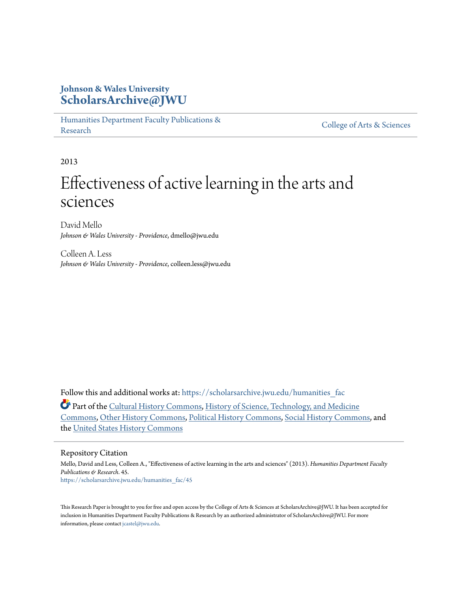# **Johnson & Wales University [ScholarsArchive@JWU](https://scholarsarchive.jwu.edu?utm_source=scholarsarchive.jwu.edu%2Fhumanities_fac%2F45&utm_medium=PDF&utm_campaign=PDFCoverPages)**

[Humanities Department Faculty Publications &](https://scholarsarchive.jwu.edu/humanities_fac?utm_source=scholarsarchive.jwu.edu%2Fhumanities_fac%2F45&utm_medium=PDF&utm_campaign=PDFCoverPages) rumanties Department Pacifity Publications & [College of Arts & Sciences](https://scholarsarchive.jwu.edu/arts_sciences?utm_source=scholarsarchive.jwu.edu%2Fhumanities_fac%2F45&utm_medium=PDF&utm_campaign=PDFCoverPages)

2013

# Effectiveness of active learning in the arts and sciences

David Mello *Johnson & Wales University - Providence*, dmello@jwu.edu

Colleen A. Less *Johnson & Wales University - Providence*, colleen.less@jwu.edu

Follow this and additional works at: https://scholarsarchive.jwu.edu/humanities fac

Part of the [Cultural History Commons,](http://network.bepress.com/hgg/discipline/496?utm_source=scholarsarchive.jwu.edu%2Fhumanities_fac%2F45&utm_medium=PDF&utm_campaign=PDFCoverPages) [History of Science, Technology, and Medicine](http://network.bepress.com/hgg/discipline/500?utm_source=scholarsarchive.jwu.edu%2Fhumanities_fac%2F45&utm_medium=PDF&utm_campaign=PDFCoverPages) [Commons,](http://network.bepress.com/hgg/discipline/500?utm_source=scholarsarchive.jwu.edu%2Fhumanities_fac%2F45&utm_medium=PDF&utm_campaign=PDFCoverPages) [Other History Commons,](http://network.bepress.com/hgg/discipline/508?utm_source=scholarsarchive.jwu.edu%2Fhumanities_fac%2F45&utm_medium=PDF&utm_campaign=PDFCoverPages) [Political History Commons](http://network.bepress.com/hgg/discipline/505?utm_source=scholarsarchive.jwu.edu%2Fhumanities_fac%2F45&utm_medium=PDF&utm_campaign=PDFCoverPages), [Social History Commons,](http://network.bepress.com/hgg/discipline/506?utm_source=scholarsarchive.jwu.edu%2Fhumanities_fac%2F45&utm_medium=PDF&utm_campaign=PDFCoverPages) and the [United States History Commons](http://network.bepress.com/hgg/discipline/495?utm_source=scholarsarchive.jwu.edu%2Fhumanities_fac%2F45&utm_medium=PDF&utm_campaign=PDFCoverPages)

#### Repository Citation

Mello, David and Less, Colleen A., "Effectiveness of active learning in the arts and sciences" (2013). *Humanities Department Faculty Publications & Research*. 45. [https://scholarsarchive.jwu.edu/humanities\\_fac/45](https://scholarsarchive.jwu.edu/humanities_fac/45?utm_source=scholarsarchive.jwu.edu%2Fhumanities_fac%2F45&utm_medium=PDF&utm_campaign=PDFCoverPages)

This Research Paper is brought to you for free and open access by the College of Arts & Sciences at ScholarsArchive@JWU. It has been accepted for inclusion in Humanities Department Faculty Publications & Research by an authorized administrator of ScholarsArchive@JWU. For more information, please contact [jcastel@jwu.edu.](mailto:jcastel@jwu.edu)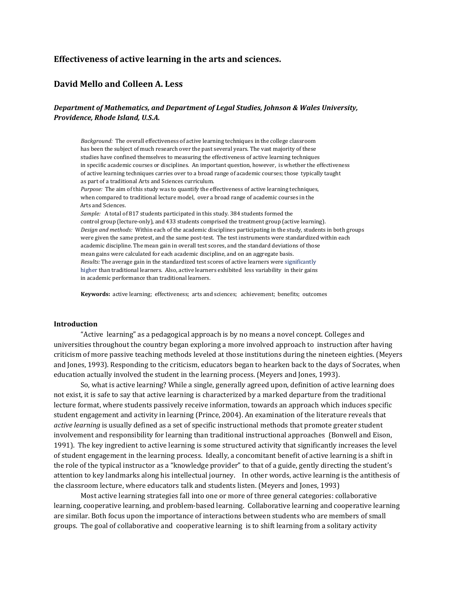# Effectiveness of active learning in the arts and sciences.

# David Mello and Colleen A. Less

### Department of Mathematics, and Department of Legal Studies, Johnson & Wales University, Providence, Rhode Island, U.S.A.

Background: The overall effectiveness of active learning techniques in the college classroom has been the subject of much research over the past several years. The vast majority of these studies have confined themselves to measuring the effectiveness of active learning techniques in specific academic courses or disciplines. An important question, however, is whether the effectiveness of active learning techniques carries over to a broad range of academic courses; those typically taught as part of a traditional Arts and Sciences curriculum. Purpose: The aim of this study was to quantify the effectiveness of active learning techniques, when compared to traditional lecture model, over a broad range of academic courses in the Arts and Sciences. Sample: A total of 817 students participated in this study. 384 students formed the control group (lecture-only), and 433 students comprised the treatment group (active learning). Design and methods: Within each of the academic disciplines participating in the study, students in both groups were given the same pretest, and the same post-test. The test instruments were standardized within each academic discipline. The mean gain in overall test scores, and the standard deviations of those mean gains were calculated for each academic discipline, and on an aggregate basis. Results: The average gain in the standardized test scores of active learners were significantly higher than traditional learners. Also, active learners exhibited less variability in their gains in academic performance than traditional learners.

Keywords: active learning; effectiveness; arts and sciences; achievement; benefits; outcomes

#### Introduction

 "Active learning" as a pedagogical approach is by no means a novel concept. Colleges and universities throughout the country began exploring a more involved approach to instruction after having criticism of more passive teaching methods leveled at those institutions during the nineteen eighties. (Meyers and Jones, 1993). Responding to the criticism, educators began to hearken back to the days of Socrates, when education actually involved the student in the learning process. (Meyers and Jones, 1993).

 So, what is active learning? While a single, generally agreed upon, definition of active learning does not exist, it is safe to say that active learning is characterized by a marked departure from the traditional lecture format, where students passively receive information, towards an approach which induces specific student engagement and activity in learning (Prince, 2004). An examination of the literature reveals that active learning is usually defined as a set of specific instructional methods that promote greater student involvement and responsibility for learning than traditional instructional approaches (Bonwell and Eison, 1991). The key ingredient to active learning is some structured activity that significantly increases the level of student engagement in the learning process. Ideally, a concomitant benefit of active learning is a shift in the role of the typical instructor as a "knowledge provider" to that of a guide, gently directing the student's attention to key landmarks along his intellectual journey. In other words, active learning is the antithesis of the classroom lecture, where educators talk and students listen. (Meyers and Jones, 1993)

Most active learning strategies fall into one or more of three general categories: collaborative learning, cooperative learning, and problem-based learning. Collaborative learning and cooperative learning are similar. Both focus upon the importance of interactions between students who are members of small groups. The goal of collaborative and cooperative learning is to shift learning from a solitary activity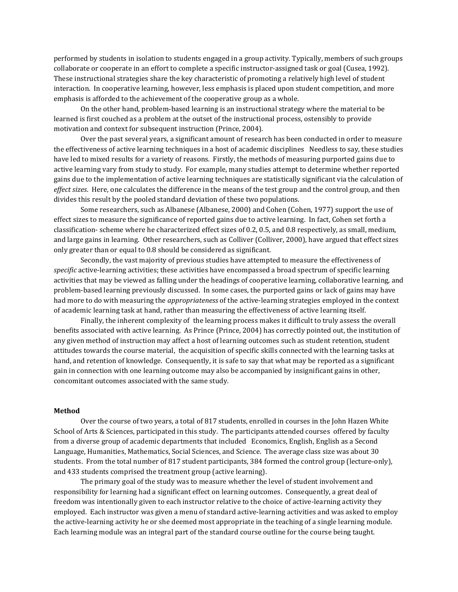performed by students in isolation to students engaged in a group activity. Typically, members of such groups collaborate or cooperate in an effort to complete a specific instructor-assigned task or goal (Cusea, 1992). These instructional strategies share the key characteristic of promoting a relatively high level of student interaction. In cooperative learning, however, less emphasis is placed upon student competition, and more emphasis is afforded to the achievement of the cooperative group as a whole.

On the other hand, problem-based learning is an instructional strategy where the material to be learned is first couched as a problem at the outset of the instructional process, ostensibly to provide motivation and context for subsequent instruction (Prince, 2004).

 Over the past several years, a significant amount of research has been conducted in order to measure the effectiveness of active learning techniques in a host of academic disciplines Needless to say, these studies have led to mixed results for a variety of reasons. Firstly, the methods of measuring purported gains due to active learning vary from study to study. For example, many studies attempt to determine whether reported gains due to the implementation of active learning techniques are statistically significant via the calculation of effect sizes. Here, one calculates the difference in the means of the test group and the control group, and then divides this result by the pooled standard deviation of these two populations.

 Some researchers, such as Albanese (Albanese, 2000) and Cohen (Cohen, 1977) support the use of effect sizes to measure the significance of reported gains due to active learning. In fact, Cohen set forth a classification- scheme where he characterized effect sizes of 0.2, 0.5, and 0.8 respectively, as small, medium, and large gains in learning. Other researchers, such as Colliver (Colliver, 2000), have argued that effect sizes only greater than or equal to 0.8 should be considered as significant.

 Secondly, the vast majority of previous studies have attempted to measure the effectiveness of specific active-learning activities; these activities have encompassed a broad spectrum of specific learning activities that may be viewed as falling under the headings of cooperative learning, collaborative learning, and problem-based learning previously discussed. In some cases, the purported gains or lack of gains may have had more to do with measuring the *appropriateness* of the active-learning strategies employed in the context of academic learning task at hand, rather than measuring the effectiveness of active learning itself.

 Finally, the inherent complexity of the learning process makes it difficult to truly assess the overall benefits associated with active learning. As Prince (Prince, 2004) has correctly pointed out, the institution of any given method of instruction may affect a host of learning outcomes such as student retention, student attitudes towards the course material, the acquisition of specific skills connected with the learning tasks at hand, and retention of knowledge. Consequently, it is safe to say that what may be reported as a significant gain in connection with one learning outcome may also be accompanied by insignificant gains in other, concomitant outcomes associated with the same study.

#### Method

Over the course of two years, a total of 817 students, enrolled in courses in the John Hazen White School of Arts & Sciences, participated in this study. The participants attended courses offered by faculty from a diverse group of academic departments that included Economics, English, English as a Second Language, Humanities, Mathematics, Social Sciences, and Science. The average class size was about 30 students. From the total number of 817 student participants, 384 formed the control group (lecture-only), and 433 students comprised the treatment group (active learning).

The primary goal of the study was to measure whether the level of student involvement and responsibility for learning had a significant effect on learning outcomes. Consequently, a great deal of freedom was intentionally given to each instructor relative to the choice of active-learning activity they employed. Each instructor was given a menu of standard active-learning activities and was asked to employ the active-learning activity he or she deemed most appropriate in the teaching of a single learning module. Each learning module was an integral part of the standard course outline for the course being taught.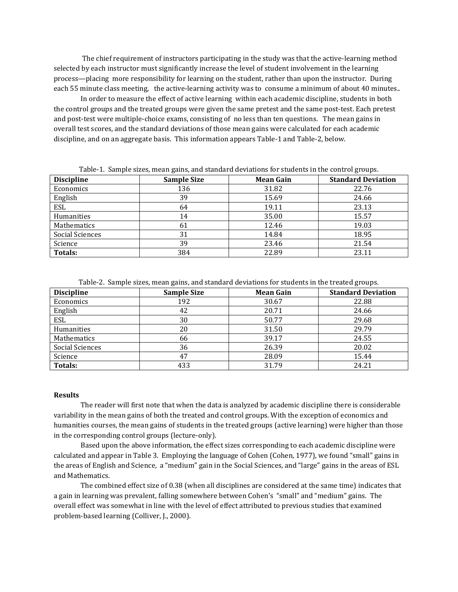The chief requirement of instructors participating in the study was that the active-learning method selected by each instructor must significantly increase the level of student involvement in the learning process—placing more responsibility for learning on the student, rather than upon the instructor. During each 55 minute class meeting, the active-learning activity was to consume a minimum of about 40 minutes..

In order to measure the effect of active learning within each academic discipline, students in both the control groups and the treated groups were given the same pretest and the same post-test. Each pretest and post-test were multiple-choice exams, consisting of no less than ten questions. The mean gains in overall test scores, and the standard deviations of those mean gains were calculated for each academic discipline, and on an aggregate basis. This information appears Table-1 and Table-2, below.

|                   |                    |                  | ີ                         |
|-------------------|--------------------|------------------|---------------------------|
| <b>Discipline</b> | <b>Sample Size</b> | <b>Mean Gain</b> | <b>Standard Deviation</b> |
| Economics         | 136                | 31.82            | 22.76                     |
| English           | 39                 | 15.69            | 24.66                     |
| ESL               | 64                 | 19.11            | 23.13                     |
| Humanities        | 14                 | 35.00            | 15.57                     |
| Mathematics       | 61                 | 12.46            | 19.03                     |
| Social Sciences   | 31                 | 14.84            | 18.95                     |
| Science           | 39                 | 23.46            | 21.54                     |
| <b>Totals:</b>    | 384                | 22.89            | 23.11                     |

Table-1. Sample sizes, mean gains, and standard deviations for students in the control groups.

|  |  |  | Table-2. Sample sizes, mean gains, and standard deviations for students in the treated groups. |
|--|--|--|------------------------------------------------------------------------------------------------|
|  |  |  |                                                                                                |

| <b>Discipline</b> | <b>Sample Size</b> | <b>Mean Gain</b> | <b>Standard Deviation</b> |
|-------------------|--------------------|------------------|---------------------------|
| Economics         | 192                | 30.67            | 22.88                     |
| English           | 42                 | 20.71            | 24.66                     |
| ESL               | 30                 | 50.77            | 29.68                     |
| Humanities        | 20                 | 31.50            | 29.79                     |
| Mathematics       | 66                 | 39.17            | 24.55                     |
| Social Sciences   | 36                 | 26.39            | 20.02                     |
| Science           | 47                 | 28.09            | 15.44                     |
| Totals:           | 433                | 31.79            | 24.21                     |

#### Results

The reader will first note that when the data is analyzed by academic discipline there is considerable variability in the mean gains of both the treated and control groups. With the exception of economics and humanities courses, the mean gains of students in the treated groups (active learning) were higher than those in the corresponding control groups (lecture-only).

 Based upon the above information, the effect sizes corresponding to each academic discipline were calculated and appear in Table 3. Employing the language of Cohen (Cohen, 1977), we found "small" gains in the areas of English and Science, a "medium" gain in the Social Sciences, and "large" gains in the areas of ESL and Mathematics.

 The combined effect size of 0.38 (when all disciplines are considered at the same time) indicates that a gain in learning was prevalent, falling somewhere between Cohen's "small" and "medium" gains. The overall effect was somewhat in line with the level of effect attributed to previous studies that examined problem-based learning (Colliver, J., 2000).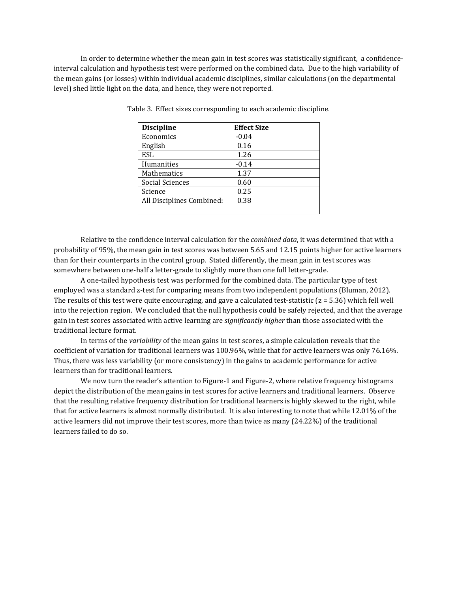In order to determine whether the mean gain in test scores was statistically significant, a confidenceinterval calculation and hypothesis test were performed on the combined data. Due to the high variability of the mean gains (or losses) within individual academic disciplines, similar calculations (on the departmental level) shed little light on the data, and hence, they were not reported.

| <b>Discipline</b>         | <b>Effect Size</b> |
|---------------------------|--------------------|
| Economics                 | $-0.04$            |
| English                   | 0.16               |
| ESL                       | 1.26               |
| Humanities                | $-0.14$            |
| <b>Mathematics</b>        | 1.37               |
| Social Sciences           | 0.60               |
| Science                   | 0.25               |
| All Disciplines Combined: | 0.38               |
|                           |                    |

Table 3. Effect sizes corresponding to each academic discipline.

Relative to the confidence interval calculation for the *combined data*, it was determined that with a probability of 95%, the mean gain in test scores was between 5.65 and 12.15 points higher for active learners than for their counterparts in the control group. Stated differently, the mean gain in test scores was somewhere between one-half a letter-grade to slightly more than one full letter-grade.

 A one-tailed hypothesis test was performed for the combined data. The particular type of test employed was a standard z-test for comparing means from two independent populations (Bluman, 2012). The results of this test were quite encouraging, and gave a calculated test-statistic  $(z = 5.36)$  which fell well into the rejection region. We concluded that the null hypothesis could be safely rejected, and that the average gain in test scores associated with active learning are significantly higher than those associated with the traditional lecture format.

 In terms of the variability of the mean gains in test scores, a simple calculation reveals that the coefficient of variation for traditional learners was 100.96%, while that for active learners was only 76.16%. Thus, there was less variability (or more consistency) in the gains to academic performance for active learners than for traditional learners.

 We now turn the reader's attention to Figure-1 and Figure-2, where relative frequency histograms depict the distribution of the mean gains in test scores for active learners and traditional learners. Observe that the resulting relative frequency distribution for traditional learners is highly skewed to the right, while that for active learners is almost normally distributed. It is also interesting to note that while 12.01% of the active learners did not improve their test scores, more than twice as many (24.22%) of the traditional learners failed to do so.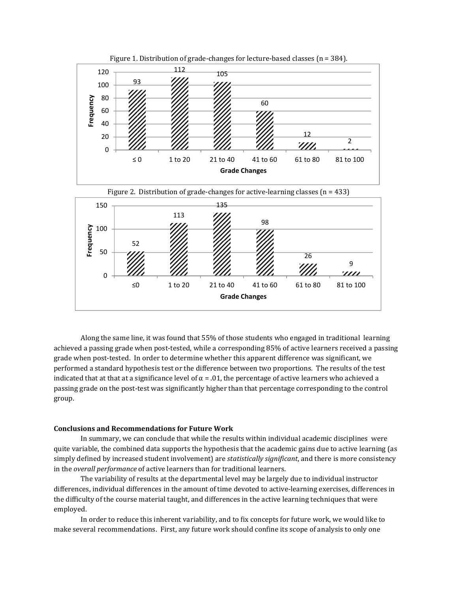







Along the same line, it was found that 55% of those students who engaged in traditional learning achieved a passing grade when post-tested, while a corresponding 85% of active learners received a passing grade when post-tested. In order to determine whether this apparent difference was significant, we performed a standard hypothesis test or the difference between two proportions. The results of the test indicated that at that at a significance level of  $\alpha = 0.01$ , the percentage of active learners who achieved a passing grade on the post-test was significantly higher than that percentage corresponding to the control group.

#### Conclusions and Recommendations for Future Work

In summary, we can conclude that while the results within individual academic disciplines were quite variable, the combined data supports the hypothesis that the academic gains due to active learning (as simply defined by increased student involvement) are statistically significant, and there is more consistency in the overall performance of active learners than for traditional learners.

The variability of results at the departmental level may be largely due to individual instructor differences, individual differences in the amount of time devoted to active-learning exercises, differences in the difficulty of the course material taught, and differences in the active learning techniques that were employed.

In order to reduce this inherent variability, and to fix concepts for future work, we would like to make several recommendations. First, any future work should confine its scope of analysis to only one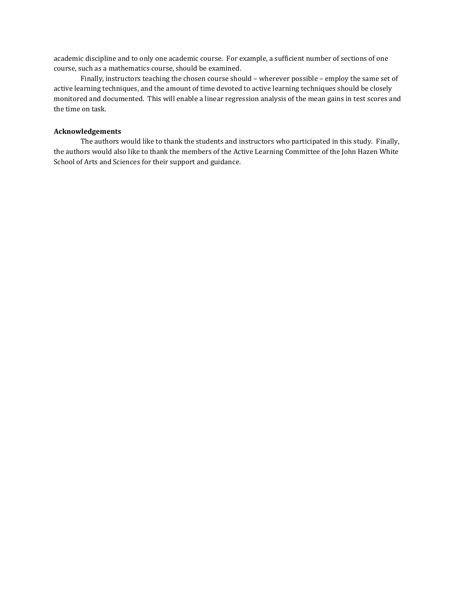academic discipline and to only one academic course. For example, a sufficient number of sections of one course, such as a mathematics course, should be examined.

Finally, instructors teaching the chosen course should – wherever possible – employ the same set of active learning techniques, and the amount of time devoted to active learning techniques should be closely monitored and documented. This will enable a linear regression analysis of the mean gains in test scores and the time on task.

## Acknowledgements

The authors would like to thank the students and instructors who participated in this study. Finally, the authors would also like to thank the members of the Active Learning Committee of the John Hazen White School of Arts and Sciences for their support and guidance.